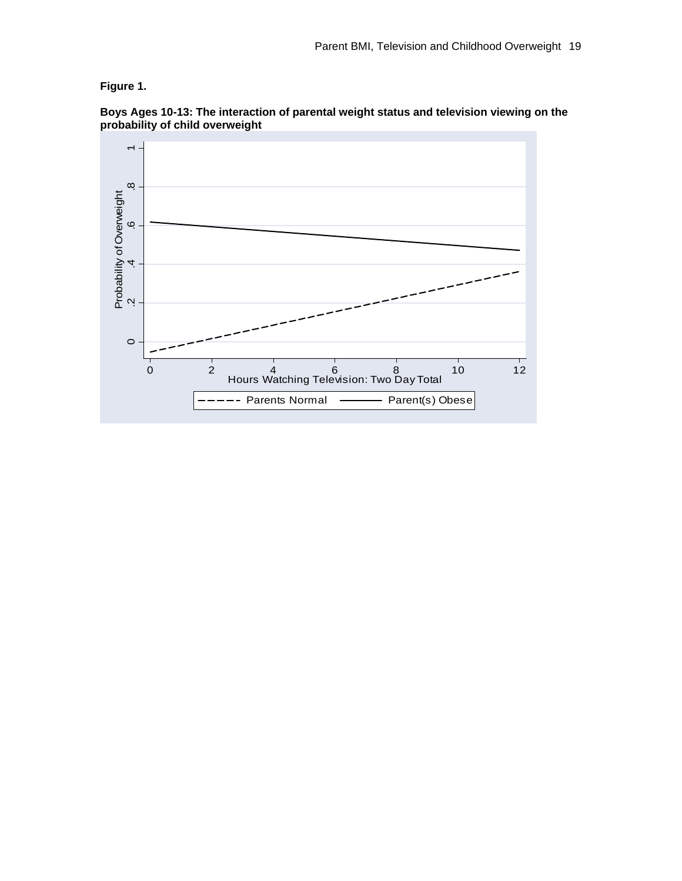## **Figure 1.**



**Boys Ages 10-13: The interaction of parental weight status and television viewing on the probability of child overweight**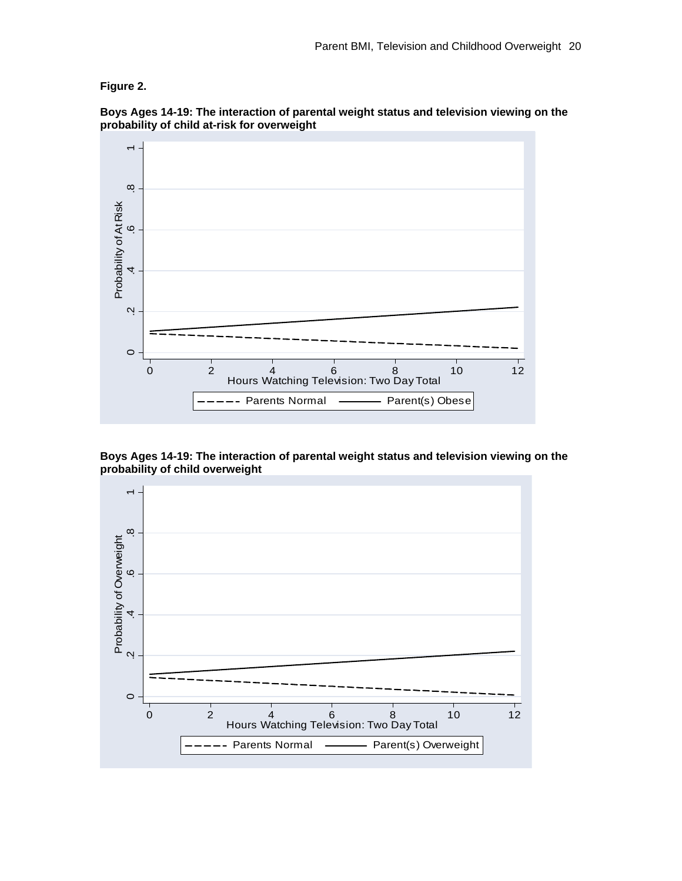## **Figure 2.**



**Boys Ages 14-19: The interaction of parental weight status and television viewing on the probability of child at-risk for overweight** 

**Boys Ages 14-19: The interaction of parental weight status and television viewing on the probability of child overweight** 

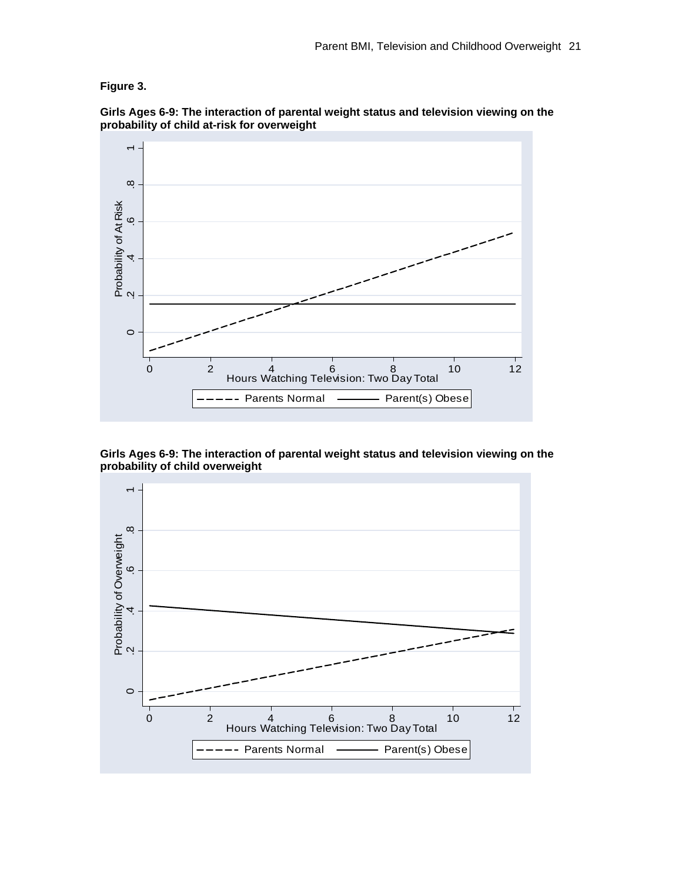## **Figure 3.**



**Girls Ages 6-9: The interaction of parental weight status and television viewing on the probability of child at-risk for overweight** 

**Girls Ages 6-9: The interaction of parental weight status and television viewing on the probability of child overweight**